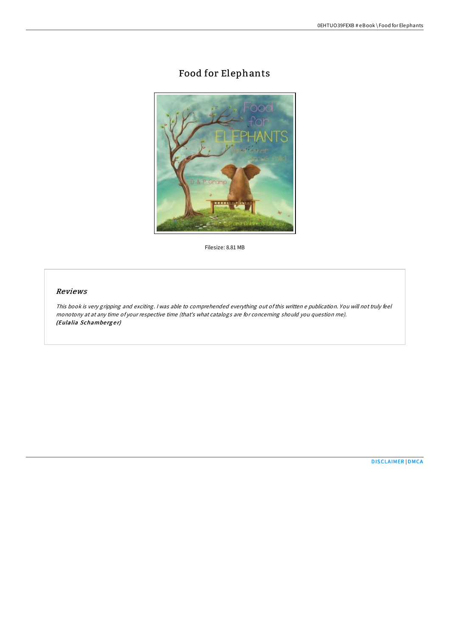# Food for Elephants



Filesize: 8.81 MB

## Reviews

This book is very gripping and exciting. <sup>I</sup> was able to comprehended everything out ofthis written <sup>e</sup> publication. You will not truly feel monotony at at any time of your respective time (that's what catalogs are for concerning should you question me). (Eulalia Schamberger)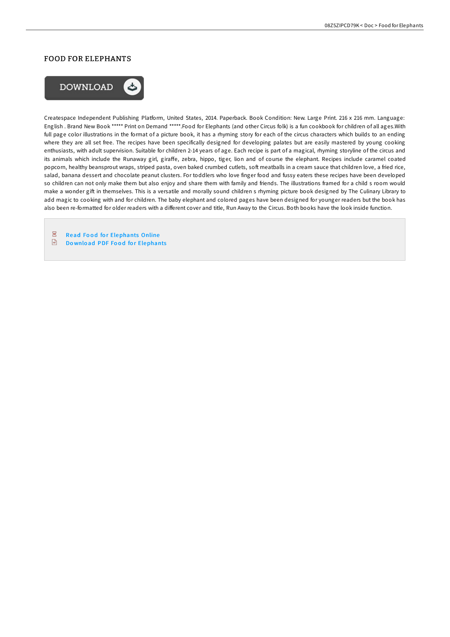## FOOD FOR ELEPHANTS



Createspace Independent Publishing Platform, United States, 2014. Paperback. Book Condition: New. Large Print. 216 x 216 mm. Language: English . Brand New Book \*\*\*\*\* Print on Demand \*\*\*\*\*.Food for Elephants (and other Circus folk) is a fun cookbook for children of all ages.With full page color illustrations in the format of a picture book, it has a rhyming story for each of the circus characters which builds to an ending where they are all set free. The recipes have been specifically designed for developing palates but are easily mastered by young cooking enthusiasts, with adult supervision. Suitable for children 2-14 years of age. Each recipe is part of a magical, rhyming storyline of the circus and its animals which include the Runaway girl, giraffe, zebra, hippo, tiger, lion and of course the elephant. Recipes include caramel coated popcorn, healthy beansprout wraps, striped pasta, oven baked crumbed cutlets, soft meatballs in a cream sauce that children love, a fried rice, salad, banana dessert and chocolate peanut clusters. For toddlers who love finger food and fussy eaters these recipes have been developed so children can not only make them but also enjoy and share them with family and friends. The illustrations framed for a child s room would make a wonder gift in themselves. This is a versatile and morally sound children s rhyming picture book designed by The Culinary Library to add magic to cooking with and for children. The baby elephant and colored pages have been designed for younger readers but the book has also been re-formatted for older readers with a different cover and title, Run Away to the Circus. Both books have the look inside function.

 $\overline{\text{pos}}$ **Read Food for [Elephants](http://almighty24.tech/food-for-elephants-paperback.html) Online**  $\sqrt{m}$ Download PDF Food for [Elephants](http://almighty24.tech/food-for-elephants-paperback.html)